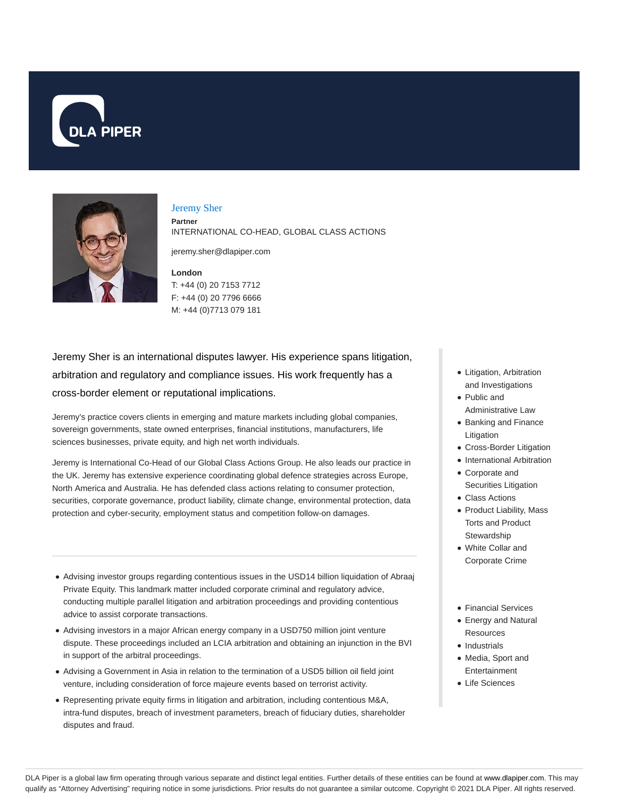



### Jeremy Sher

**Partner** INTERNATIONAL CO-HEAD, GLOBAL CLASS ACTIONS

jeremy.sher@dlapiper.com

## **London** T: +44 (0) 20 7153 7712 F: +44 (0) 20 7796 6666 M: +44 (0)7713 079 181

Jeremy Sher is an international disputes lawyer. His experience spans litigation, arbitration and regulatory and compliance issues. His work frequently has a cross-border element or reputational implications.

Jeremy's practice covers clients in emerging and mature markets including global companies, sovereign governments, state owned enterprises, financial institutions, manufacturers, life sciences businesses, private equity, and high net worth individuals.

Jeremy is International Co-Head of our Global Class Actions Group. He also leads our practice in the UK. Jeremy has extensive experience coordinating global defence strategies across Europe, North America and Australia. He has defended class actions relating to consumer protection, securities, corporate governance, product liability, climate change, environmental protection, data protection and cyber-security, employment status and competition follow-on damages.

- Advising investor groups regarding contentious issues in the USD14 billion liquidation of Abraaj Private Equity. This landmark matter included corporate criminal and regulatory advice, conducting multiple parallel litigation and arbitration proceedings and providing contentious advice to assist corporate transactions.
- Advising investors in a major African energy company in a USD750 million joint venture dispute. These proceedings included an LCIA arbitration and obtaining an injunction in the BVI in support of the arbitral proceedings.
- Advising a Government in Asia in relation to the termination of a USD5 billion oil field joint venture, including consideration of force majeure events based on terrorist activity.
- Representing private equity firms in litigation and arbitration, including contentious M&A, intra-fund disputes, breach of investment parameters, breach of fiduciary duties, shareholder disputes and fraud.
- Litigation, Arbitration and Investigations
- Public and Administrative Law
- Banking and Finance Litigation
- Cross-Border Litigation
- International Arbitration
- Corporate and Securities Litigation
- Class Actions
- Product Liability, Mass Torts and Product **Stewardship**
- White Collar and Corporate Crime
- Financial Services
- Energy and Natural Resources
- Industrials
- Media, Sport and Entertainment
- Life Sciences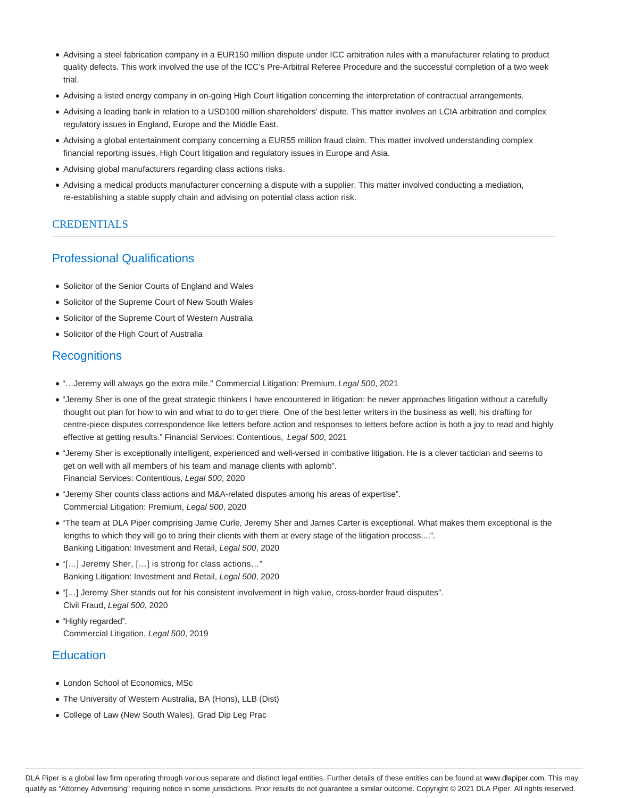- Advising a steel fabrication company in a EUR150 million dispute under ICC arbitration rules with a manufacturer relating to product quality defects. This work involved the use of the ICC's Pre-Arbitral Referee Procedure and the successful completion of a two week trial.
- Advising a listed energy company in on-going High Court litigation concerning the interpretation of contractual arrangements.
- Advising a leading bank in relation to a USD100 million shareholders' dispute. This matter involves an LCIA arbitration and complex regulatory issues in England, Europe and the Middle East.
- Advising a global entertainment company concerning a EUR55 million fraud claim. This matter involved understanding complex financial reporting issues, High Court litigation and regulatory issues in Europe and Asia.
- Advising global manufacturers regarding class actions risks.
- Advising a medical products manufacturer concerning a dispute with a supplier. This matter involved conducting a mediation, re-establishing a stable supply chain and advising on potential class action risk.

## CREDENTIALS

# Professional Qualifications

- Solicitor of the Senior Courts of England and Wales
- Solicitor of the Supreme Court of New South Wales
- Solicitor of the Supreme Court of Western Australia
- Solicitor of the High Court of Australia

# **Recognitions**

- "…Jeremy will always go the extra mile." Commercial Litigation: Premium, Legal 500, 2021
- "Jeremy Sher is one of the great strategic thinkers I have encountered in litigation: he never approaches litigation without a carefully thought out plan for how to win and what to do to get there. One of the best letter writers in the business as well; his drafting for centre-piece disputes correspondence like letters before action and responses to letters before action is both a joy to read and highly effective at getting results." Financial Services: Contentious, Legal 500, 2021
- "Jeremy Sher is exceptionally intelligent, experienced and well-versed in combative litigation. He is a clever tactician and seems to get on well with all members of his team and manage clients with aplomb". Financial Services: Contentious, Legal 500, 2020
- "Jeremy Sher counts class actions and M&A-related disputes among his areas of expertise". Commercial Litigation: Premium, Legal 500, 2020
- "The team at DLA Piper comprising Jamie Curle, Jeremy Sher and James Carter is exceptional. What makes them exceptional is the lengths to which they will go to bring their clients with them at every stage of the litigation process....". Banking Litigation: Investment and Retail, Legal 500, 2020
- "[…] Jeremy Sher, […] is strong for class actions…". Banking Litigation: Investment and Retail, Legal 500, 2020
- "[…] Jeremy Sher stands out for his consistent involvement in high value, cross-border fraud disputes". Civil Fraud, Legal 500, 2020
- "Highly regarded". Commercial Litigation, Legal 500, 2019

# **Education**

- London School of Economics, MSc
- The University of Western Australia, BA (Hons), LLB (Dist)
- College of Law (New South Wales), Grad Dip Leg Prac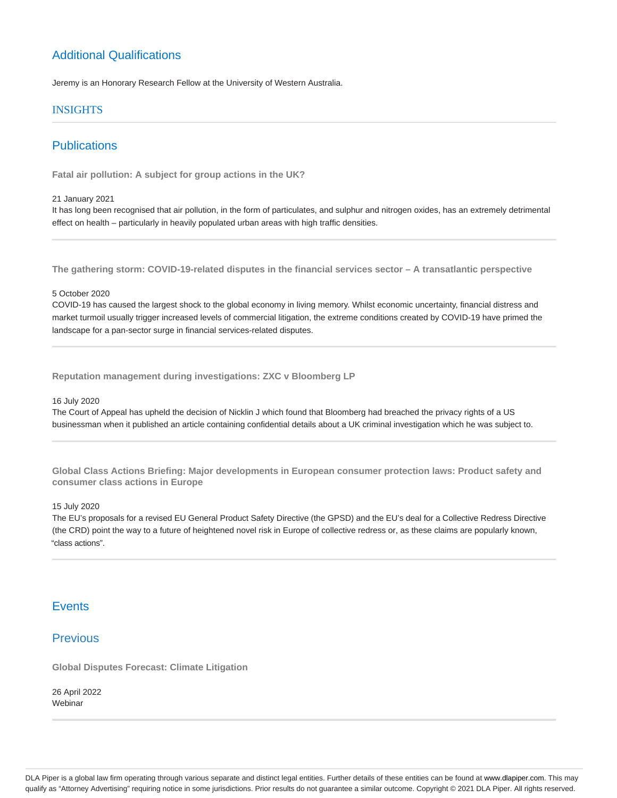# Additional Qualifications

Jeremy is an Honorary Research Fellow at the University of Western Australia.

### **INSIGHTS**

# **Publications**

**Fatal air pollution: A subject for group actions in the UK?**

#### 21 January 2021

It has long been recognised that air pollution, in the form of particulates, and sulphur and nitrogen oxides, has an extremely detrimental effect on health – particularly in heavily populated urban areas with high traffic densities.

**The gathering storm: COVID-19-related disputes in the financial services sector – A transatlantic perspective**

### 5 October 2020

COVID-19 has caused the largest shock to the global economy in living memory. Whilst economic uncertainty, financial distress and market turmoil usually trigger increased levels of commercial litigation, the extreme conditions created by COVID-19 have primed the landscape for a pan-sector surge in financial services-related disputes.

**Reputation management during investigations: ZXC v Bloomberg LP**

#### 16 July 2020

The Court of Appeal has upheld the decision of Nicklin J which found that Bloomberg had breached the privacy rights of a US businessman when it published an article containing confidential details about a UK criminal investigation which he was subject to.

**Global Class Actions Briefing: Major developments in European consumer protection laws: Product safety and consumer class actions in Europe**

15 July 2020

The EU's proposals for a revised EU General Product Safety Directive (the GPSD) and the EU's deal for a Collective Redress Directive (the CRD) point the way to a future of heightened novel risk in Europe of collective redress or, as these claims are popularly known, "class actions".

## **Events**

## **Previous**

**Global Disputes Forecast: Climate Litigation**

26 April 2022 Webinar